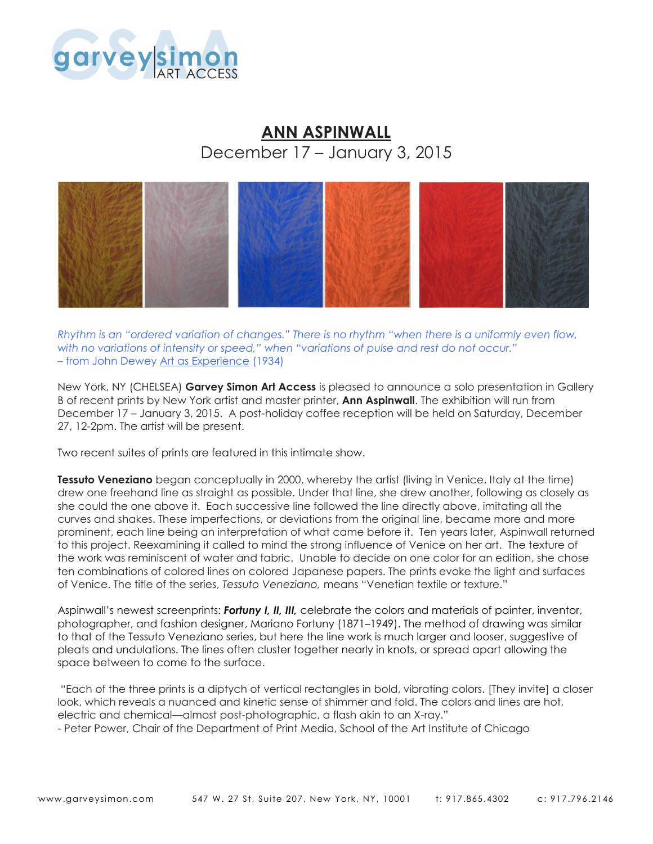

## **ANN ASPINWALL** December 17 – January 3, 2015



*Rhythm is an "ordered variation of changes." There is no rhythm "when there is a uniformly even flow, with no variations of intensity or speed," when "variations of pulse and rest do not occur."* – from John Dewey Art as Experience (1934)

New York, NY (CHELSEA) **Garvey Simon Art Access** is pleased to announce a solo presentation in Gallery B of recent prints by New York artist and master printer, **Ann Aspinwall**. The exhibition will run from December 17 – January 3, 2015. A post-holiday coffee reception will be held on Saturday, December 27, 12-2pm. The artist will be present.

Two recent suites of prints are featured in this intimate show.

**Tessuto Veneziano** began conceptually in 2000, whereby the artist (living in Venice, Italy at the time) drew one freehand line as straight as possible. Under that line, she drew another, following as closely as she could the one above it. Each successive line followed the line directly above, imitating all the curves and shakes. These imperfections, or deviations from the original line, became more and more prominent, each line being an interpretation of what came before it. Ten years later, Aspinwall returned to this project. Reexamining it called to mind the strong influence of Venice on her art. The texture of the work was reminiscent of water and fabric. Unable to decide on one color for an edition, she chose ten combinations of colored lines on colored Japanese papers. The prints evoke the light and surfaces of Venice. The title of the series, *Tessuto Veneziano,* means "Venetian textile or texture."

Aspinwall's newest screenprints: *Fortuny I, II, III,* celebrate the colors and materials of painter, inventor, photographer, and fashion designer, Mariano Fortuny (1871–1949). The method of drawing was similar to that of the Tessuto Veneziano series, but here the line work is much larger and looser, suggestive of pleats and undulations. The lines often cluster together nearly in knots, or spread apart allowing the space between to come to the surface.

"Each of the three prints is a diptych of vertical rectangles in bold, vibrating colors. [They invite] a closer look, which reveals a nuanced and kinetic sense of shimmer and fold. The colors and lines are hot, electric and chemical—almost post-photographic, a flash akin to an X-ray."

- Peter Power, Chair of the Department of Print Media, School of the Art Institute of Chicago